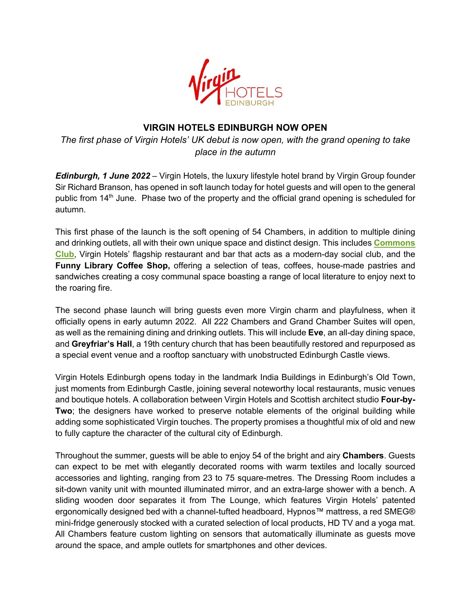

# **VIRGIN HOTELS EDINBURGH NOW OPEN**

*The first phase of Virgin Hotels' UK debut is now open, with the grand opening to take place in the autumn*

*Edinburgh, 1 June 2022* – Virgin Hotels, the luxury lifestyle hotel brand by Virgin Group founder Sir Richard Branson, has opened in soft launch today for hotel guests and will open to the general public from 14<sup>th</sup> June. Phase two of the property and the official grand opening is scheduled for autumn.

This first phase of the launch is the soft opening of 54 Chambers, in addition to multiple dining and drinking outlets, all with their own unique space and distinct design. This includes **Commons Club**, Virgin Hotels' flagship restaurant and bar that acts as a modern-day social club, and the **Funny Library Coffee Shop,** offering a selection of teas, coffees, house-made pastries and sandwiches creating a cosy communal space boasting a range of local literature to enjoy next to the roaring fire.

The second phase launch will bring guests even more Virgin charm and playfulness, when it officially opens in early autumn 2022. All 222 Chambers and Grand Chamber Suites will open, as well as the remaining dining and drinking outlets. This will include **Eve**, an all-day dining space, and **Greyfriar's Hall**, a 19th century church that has been beautifully restored and repurposed as a special event venue and a rooftop sanctuary with unobstructed Edinburgh Castle views.

Virgin Hotels Edinburgh opens today in the landmark India Buildings in Edinburgh's Old Town, just moments from Edinburgh Castle, joining several noteworthy local restaurants, music venues and boutique hotels. A collaboration between Virgin Hotels and Scottish architect studio **Four-by-Two**; the designers have worked to preserve notable elements of the original building while adding some sophisticated Virgin touches. The property promises a thoughtful mix of old and new to fully capture the character of the cultural city of Edinburgh.

Throughout the summer, guests will be able to enjoy 54 of the bright and airy **Chambers**. Guests can expect to be met with elegantly decorated rooms with warm textiles and locally sourced accessories and lighting, ranging from 23 to 75 square-metres. The Dressing Room includes a sit-down vanity unit with mounted illuminated mirror, and an extra-large shower with a bench. A sliding wooden door separates it from The Lounge, which features Virgin Hotels' patented ergonomically designed bed with a channel-tufted headboard, Hypnos™ mattress, a red SMEG® mini-fridge generously stocked with a curated selection of local products, HD TV and a yoga mat. All Chambers feature custom lighting on sensors that automatically illuminate as guests move around the space, and ample outlets for smartphones and other devices.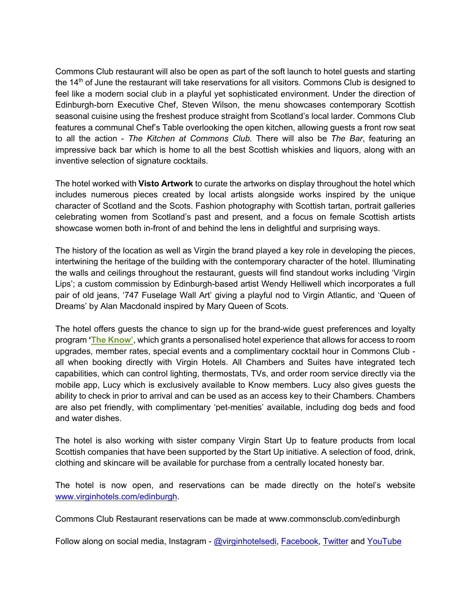Commons Club restaurant will also be open as part of the soft launch to hotel guests and starting the 14<sup>th</sup> of June the restaurant will take reservations for all visitors. Commons Club is designed to feel like a modern social club in a playful yet sophisticated environment. Under the direction of Edinburgh-born Executive Chef, Steven Wilson, the menu showcases contemporary Scottish seasonal cuisine using the freshest produce straight from Scotland's local larder. Commons Club features a communal Chef's Table overlooking the open kitchen, allowing guests a front row seat to all the action - *The Kitchen at Commons Club.* There will also be *The Bar*, featuring an impressive back bar which is home to all the best Scottish whiskies and liquors, along with an inventive selection of signature cocktails.

The hotel worked with **Visto Artwork** to curate the artworks on display throughout the hotel which includes numerous pieces created by local artists alongside works inspired by the unique character of Scotland and the Scots. Fashion photography with Scottish tartan, portrait galleries celebrating women from Scotland's past and present, and a focus on female Scottish artists showcase women both in-front of and behind the lens in delightful and surprising ways.

The history of the location as well as Virgin the brand played a key role in developing the pieces, intertwining the heritage of the building with the contemporary character of the hotel. Illuminating the walls and ceilings throughout the restaurant, guests will find standout works including 'Virgin Lips'; a custom commission by Edinburgh-based artist Wendy Helliwell which incorporates a full pair of old jeans, '747 Fuselage Wall Art' giving a playful nod to Virgin Atlantic, and 'Queen of Dreams' by Alan Macdonald inspired by Mary Queen of Scots.

The hotel offers guests the chance to sign up for the brand-wide guest preferences and loyalty program **'The Know'**, which grants a personalised hotel experience that allows for access to room upgrades, member rates, special events and a complimentary cocktail hour in Commons Club all when booking directly with Virgin Hotels. All Chambers and Suites have integrated tech capabilities, which can control lighting, thermostats, TVs, and order room service directly via the mobile app, Lucy which is exclusively available to Know members. Lucy also gives guests the ability to check in prior to arrival and can be used as an access key to their Chambers. Chambers are also pet friendly, with complimentary 'pet-menities' available, including dog beds and food and water dishes.

The hotel is also working with sister company Virgin Start Up to feature products from local Scottish companies that have been supported by the Start Up initiative. A selection of food, drink, clothing and skincare will be available for purchase from a centrally located honesty bar.

The hotel is now open, and reservations can be made directly on the hotel's website www.virginhotels.com/edinburgh.

Commons Club Restaurant reservations can be made at www.commonsclub.com/edinburgh

Follow along on social media, Instagram - @virginhotelsedi, Facebook, Twitter and YouTube